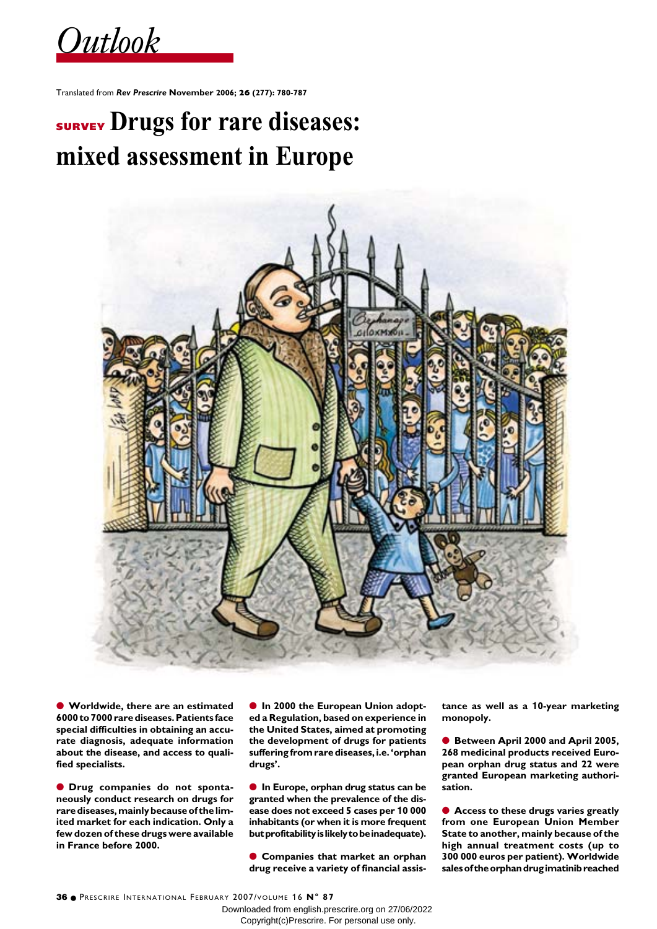$Outbook$ 

Translated from *Rev Prescrire* **November 2006; 26 (277): 780-787**

# **SURVEY Drugs for rare diseases: mixed assessment in Europe**



● **Worldwide, there are an estimated 6000 to 7000 rare diseases. Patients face special difficulties in obtaining an accurate diagnosis, adequate information about the disease, and access to qualified specialists.** 

● **Drug companies do not spontaneously conduct research on drugs for rare diseases, mainly because of the limited market for each indication. Only a few dozen of these drugs were available in France before 2000.**

● **In 2000 the European Union adopted a Regulation, based on experience in the United States, aimed at promoting the development of drugs for patients suffering from rare diseases, i.e. 'orphan drugs'.**

● **In Europe, orphan drug status can be granted when the prevalence of the disease does not exceed 5 cases per 10 000 inhabitants (or when it is more frequent but profitability is likely to be inadequate).**

● **Companies that market an orphan drug receive a variety of financial assis-** **tance as well as a 10-year marketing monopoly.**

● **Between April 2000 and April 2005, 268 medicinal products received European orphan drug status and 22 were granted European marketing authorisation.**

● **Access to these drugs varies greatly from one European Union Member State to another, mainly because of the high annual treatment costs (up to 300 000 euros per patient). Worldwide sales of the orphan drug imatinib reached**

Downloaded from english.prescrire.org on 27/06/2022 Copyright(c)Prescrire. For personal use only.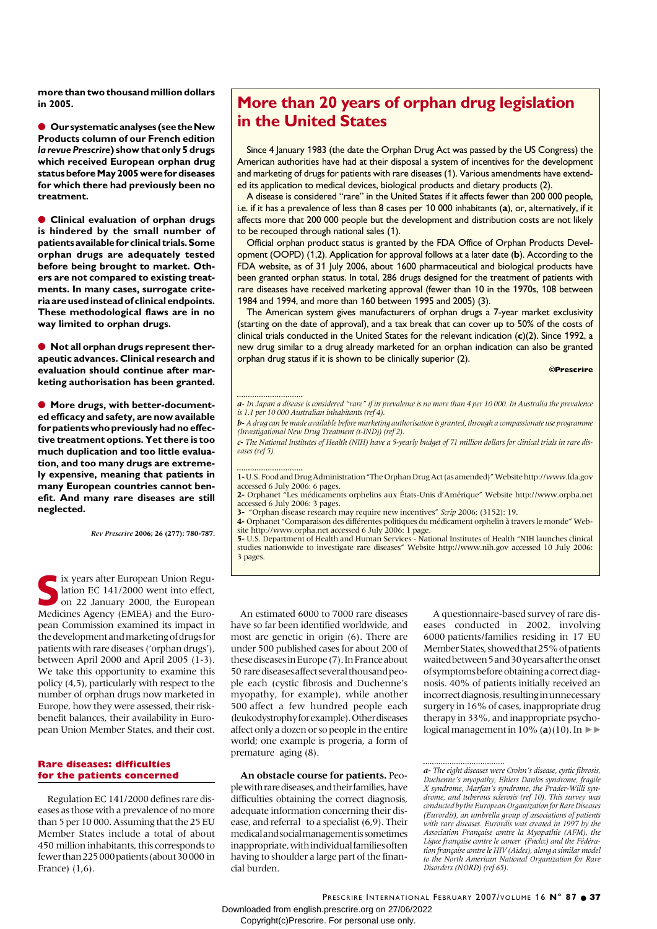**more than two thousand million dollars in 2005.** 

● **Our systematic analyses (see the New Products column of our French edition** *la revue Prescrire***) show that only 5 drugs which received European orphan drug status before May 2005 were for diseases for which there had previously been no treatment.** 

● **Clinical evaluation of orphan drugs is hindered by the small number of patients available for clinical trials. Some orphan drugs are adequately tested before being brought to market. Others are not compared to existing treatments. In many cases, surrogate criteria are used instead of clinical endpoints. These methodological flaws are in no way limited to orphan drugs.**

● **Not all orphan drugs represent therapeutic advances. Clinical research and evaluation should continue after marketing authorisation has been granted.** 

● **More drugs, with better-documented efficacy and safety, are now available for patients who previously had no effective treatment options. Yet there is too much duplication and too little evaluation, and too many drugs are extremely expensive, meaning that patients in many European countries cannot benefit. And many rare diseases are still neglected.**

*Rev Prescrire* **2006; 26 (277): 780-787.**

In the Surgeon Union Regulation EC 141/2000 went into effect,<br>
on 22 January 2000, the European<br>
Medicines Agency (EMEA) and the European lation EC 141/2000 went into effect, on 22 January 2000, the European Medicines Agency (EMEA) and the European Commission examined its impact in the development and marketing of drugs for patients with rare diseases ('orphan drugs'), between April 2000 and April 2005 (1-3). We take this opportunity to examine this policy (4,5), particularly with respect to the number of orphan drugs now marketed in Europe, how they were assessed, their riskbenefit balances, their availability in European Union Member States, and their cost.

### **Rare diseases: difficulties for the patients concerned**

Regulation EC 141/2000 defines rare diseases as those with a prevalence of no more than 5 per 10 000. Assuming that the 25 EU Member States include a total of about 450 million inhabitants, this corresponds to fewer than 225000 patients (about 30000 in France) (1,6).

## **More than 20 years of orphan drug legislation in the United States**

Since 4 January 1983 (the date the Orphan Drug Act was passed by the US Congress) the American authorities have had at their disposal a system of incentives for the development and marketing of drugs for patients with rare diseases (1). Various amendments have extended its application to medical devices, biological products and dietary products (2).

A disease is considered "rare" in the United States if it affects fewer than 200 000 people, i.e. if it has a prevalence of less than 8 cases per 10 000 inhabitants (**a**), or, alternatively, if it affects more that 200 000 people but the development and distribution costs are not likely to be recouped through national sales (1).

Official orphan product status is granted by the FDA Office of Orphan Products Development (OOPD) (1,2). Application for approval follows at a later date (**b**). According to the FDA website, as of 31 July 2006, about 1600 pharmaceutical and biological products have been granted orphan status. In total, 286 drugs designed for the treatment of patients with rare diseases have received marketing approval (fewer than 10 in the 1970s, 108 between 1984 and 1994, and more than 160 between 1995 and 2005) (3).

The American system gives manufacturers of orphan drugs a 7-year market exclusivity (starting on the date of approval), and a tax break that can cover up to 50% of the costs of clinical trials conducted in the United States for the relevant indication (**c**)(2). Since 1992, a new drug similar to a drug already marketed for an orphan indication can also be granted orphan drug status if it is shown to be clinically superior (2).

**©Prescrire** 

*b-A drug can be made available before marketing authorisation is granted, through a compassionate use programme (Investigational New Drug Treatment (t-IND)) (ref 2).*

*c- The National Institutes of Health (NIH) have a 5-yearly budget of 71 million dollars for clinical trials in rare diseases (ref 5).*

**1-**U.S. Food and Drug Administration "The Orphan Drug Act (as amended)" Website http://www.fda.gov accessed 6 July 2006: 6 pages.

**2-** Orphanet "Les médicaments orphelins aux États-Unis d'Amérique" Website http://www.orpha.net accessed 6 July 2006: 3 pages.

**3-** "Orphan disease research may require new incentives" *Scrip* 2006; (3152): 19.

**4-** Orphanet "Comparaison des différentes politiques du médicament orphelin à travers le monde" Website http://www.orpha.net accessed 6 July 2006: 1 page.

**5-** U.S. Department of Health and Human Services - National Institutes of Health "NIH launches clinical studies nationwide to investigate rare diseases" Website http://www.nih.gov accessed 10 July 2006: 3 pages.

An estimated 6000 to 7000 rare diseases have so far been identified worldwide, and most are genetic in origin (6). There are under 500 published cases for about 200 of these diseases in Europe (7). In France about 50 rare diseases affect several thousand people each (cystic fibrosis and Duchenne's myopathy, for example), while another 500 affect a few hundred people each (leukodystrophy for example). Other diseases affect only a dozen or so people in the entire world; one example is progeria, a form of premature aging (8).

**An obstacle course for patients.** People with rare diseases, and their families, have difficulties obtaining the correct diagnosis, adequate information concerning their disease, and referral to a specialist (6,9). Their medical and social management is sometimes inappropriate, with individual families often having to shoulder a large part of the financial burden.

A questionnaire-based survey of rare diseases conducted in 2002, involving 6000 patients/families residing in 17 EU Member States, showed that 25% of patients waited between 5 and 30 years after the onset of symptoms before obtaining a correct diagnosis. 40% of patients initially received an incorrect diagnosis, resulting in unnecessary surgery in 16% of cases, inappropriate drug therapy in 33%, and inappropriate psychological management in  $10\%$  (a)( $10$ ). In

PRESCRIRE INTERNATIONAL FEBRUARY 2007/VOLUME 16 N° 87 · 37 Downloaded from english.prescrire.org on 27/06/2022 Copyright(c)Prescrire. For personal use only.

*a- In Japan a disease is considered "rare" if its prevalence is no more than 4 per 10 000. In Australia the prevalence is 1.1 per 10 000 Australian inhabitants (ref 4).*

<sup>..................................</sup> 

*a- The eight diseases were Crohn's disease, cystic fibrosis, Duchenne's myopathy, Ehlers Danlos syndrome, fragile X syndrome, Marfan's syndrome, the Prader-Willi syndrome, and tuberous sclerosis (ref 10). This survey was conducted by the European Organization for Rare Diseases (Eurordis), an umbrella group of associations of patients with rare diseases. Eurordis was created in 1997 by the Association Française contre la Myopathie (AFM), the Ligue française contre le cancer (Fnclcc) and the Fédération française contre le HIV (Aides), along a similar model to the North American National Organization for Rare Disorders (NORD) (ref 65).*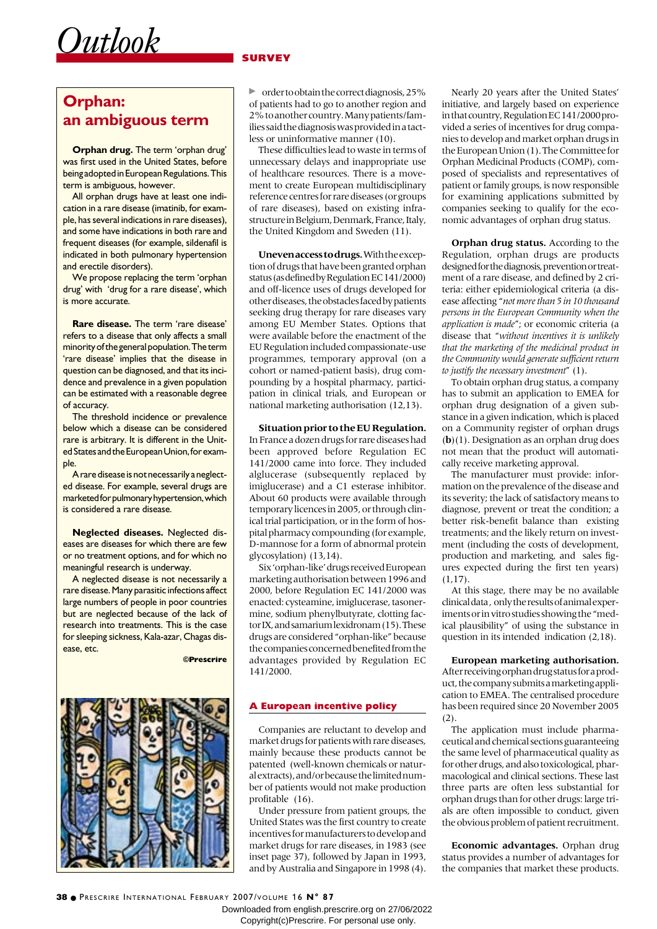### **SURVEY**

# **Orphan: an ambiguous term**

*Outlook*

**Orphan drug.** The term 'orphan drug' was first used in the United States, before being adopted in European Regulations. This term is ambiguous, however.

All orphan drugs have at least one indication in a rare disease (imatinib, for example, has several indications in rare diseases), and some have indications in both rare and frequent diseases (for example, sildenafil is indicated in both pulmonary hypertension and erectile disorders).

We propose replacing the term 'orphan drug' with 'drug for a rare disease', which is more accurate.

**Rare disease.** The term 'rare disease' refers to a disease that only affects a small minority of the general population. The term 'rare disease' implies that the disease in question can be diagnosed, and that its incidence and prevalence in a given population can be estimated with a reasonable degree of accuracy.

The threshold incidence or prevalence below which a disease can be considered rare is arbitrary. It is different in the United States and the European Union, for example.

A rare disease is not necessarily a neglected disease. For example, several drugs are marketed for pulmonary hypertension, which is considered a rare disease.

**Neglected diseases.** Neglected diseases are diseases for which there are few or no treatment options, and for which no meaningful research is underway.

A neglected disease is not necessarily a rare disease. Many parasitic infections affect large numbers of people in poor countries but are neglected because of the lack of research into treatments. This is the case for sleeping sickness, Kala-azar, Chagas disease, etc.

**©Prescrire** 



• order to obtain the correct diagnosis, 25% of patients had to go to another region and 2% to another country. Many patients/families said the diagnosis was provided in a tactless or uninformative manner (10).

These difficulties lead to waste in terms of unnecessary delays and inappropriate use of healthcare resources. There is a movement to create European multidisciplinary reference centres for rare diseases (or groups of rare diseases), based on existing infrastructure in Belgium, Denmark, France, Italy, the United Kingdom and Sweden (11).

**Uneven access to drugs.**With the exception of drugs that have been granted orphan status (as defined by Regulation EC 141/2000) and off-licence uses of drugs developed for other diseases, the obstacles faced by patients seeking drug therapy for rare diseases vary among EU Member States. Options that were available before the enactment of the EU Regulation included compassionate-use programmes, temporary approval (on a cohort or named-patient basis), drug compounding by a hospital pharmacy, participation in clinical trials, and European or national marketing authorisation (12,13).

**Situation prior to the EU Regulation.** In France a dozen drugs for rare diseases had been approved before Regulation EC 141/2000 came into force. They included alglucerase (subsequently replaced by imiglucerase) and a C1 esterase inhibitor. About 60 products were available through temporary licences in 2005, or through clinical trial participation, or in the form of hospital pharmacy compounding (for example, D-mannose for a form of abnormal protein glycosylation) (13,14).

Six 'orphan-like' drugs received European marketing authorisation between 1996 and 2000, before Regulation EC 141/2000 was enacted: cysteamine, imiglucerase, tasonermine, sodium phenylbutyrate, clotting factor IX, and samarium lexidronam (15). These drugs are considered "orphan-like" because the companies concerned benefited from the advantages provided by Regulation EC 141/2000.

### **A European incentive policy**

Companies are reluctant to develop and market drugs for patients with rare diseases, mainly because these products cannot be patented (well-known chemicals or natural extracts), and/or because the limited number of patients would not make production profitable (16).

Under pressure from patient groups, the United States was the first country to create incentives for manufacturers to develop and market drugs for rare diseases, in 1983 (see inset page 37), followed by Japan in 1993, and by Australia and Singapore in 1998 (4).

Nearly 20 years after the United States' initiative, and largely based on experience in that country, Regulation EC 141/2000 provided a series of incentives for drug companies to develop and market orphan drugs in the European Union (1). The Committee for Orphan Medicinal Products (COMP), composed of specialists and representatives of patient or family groups, is now responsible for examining applications submitted by companies seeking to qualify for the economic advantages of orphan drug status.

**Orphan drug status.** According to the Regulation, orphan drugs are products designed for the diagnosis, prevention or treatment of a rare disease, and defined by 2 criteria: either epidemiological criteria (a disease affecting "*not more than 5 in 10 thousand persons in the European Community when the application is made*"; or economic criteria (a disease that "*without incentives it is unlikely that the marketing of the medicinal product in the Community would generate sufficient return to justify the necessary investment*" (1).

To obtain orphan drug status, a company has to submit an application to EMEA for orphan drug designation of a given substance in a given indication, which is placed on a Community register of orphan drugs (**b**)(1). Designation as an orphan drug does not mean that the product will automatically receive marketing approval.

The manufacturer must provide: information on the prevalence of the disease and its severity; the lack of satisfactory means to diagnose, prevent or treat the condition; a better risk-benefit balance than existing treatments; and the likely return on investment (including the costs of development, production and marketing, and sales figures expected during the first ten years)  $(1,17)$ .

At this stage, there may be no available clinical data , only the results of animal experiments or in vitro studies showing the "medical plausibility" of using the substance in question in its intended indication (2,18).

**European marketing authorisation.** After receiving orphan drug status for a product, the company submits a marketing application to EMEA. The centralised procedure has been required since 20 November 2005 (2).

The application must include pharmaceutical and chemical sections guaranteeing the same level of pharmaceutical quality as for other drugs, and also toxicological, pharmacological and clinical sections. These last three parts are often less substantial for orphan drugs than for other drugs: large trials are often impossible to conduct, given the obvious problem of patient recruitment.

**Economic advantages.** Orphan drug status provides a number of advantages for the companies that market these products.

Downloaded from english.prescrire.org on 27/06/2022 Copyright(c)Prescrire. For personal use only.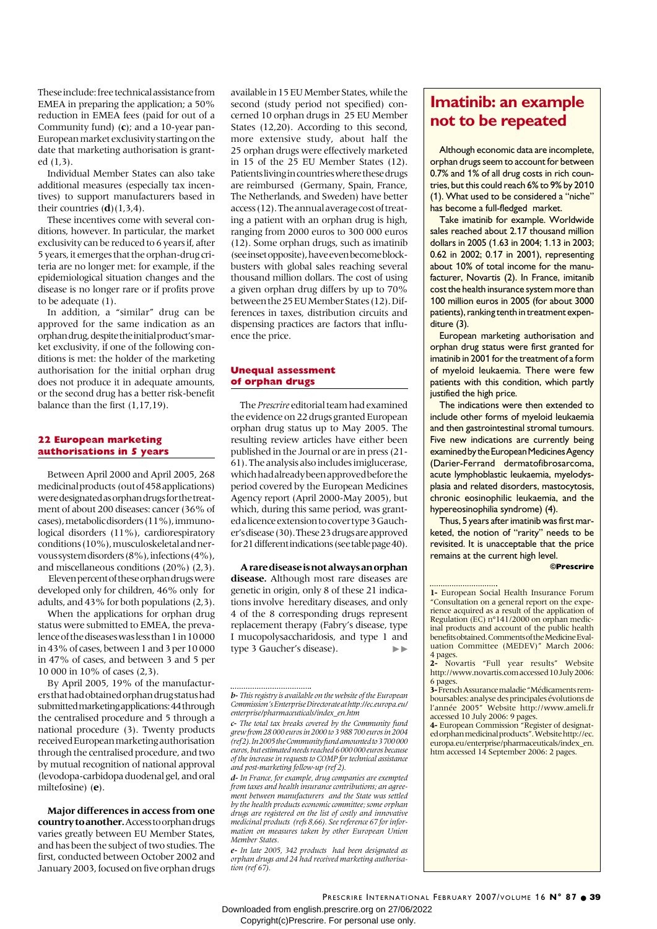These include: free technical assistance from EMEA in preparing the application; a 50% reduction in EMEA fees (paid for out of a Community fund) (**c**); and a 10-year pan-European market exclusivity starting on the date that marketing authorisation is granted (1,3).

Individual Member States can also take additional measures (especially tax incentives) to support manufacturers based in their countries  $(\mathbf{d})$ (1,3,4).

These incentives come with several conditions, however. In particular, the market exclusivity can be reduced to 6 years if, after 5 years, it emerges that the orphan-drug criteria are no longer met: for example, if the epidemiological situation changes and the disease is no longer rare or if profits prove to be adequate (1).

In addition, a "similar" drug can be approved for the same indication as an orphan drug, despite the initial product's market exclusivity, if one of the following conditions is met: the holder of the marketing authorisation for the initial orphan drug does not produce it in adequate amounts, or the second drug has a better risk-benefit balance than the first (1,17,19).

### **22 European marketing authorisations in 5 years**

Between April 2000 and April 2005, 268 medicinal products (out of 458 applications) were designated as orphan drugs for the treatment of about 200 diseases: cancer (36% of cases), metabolic disorders (11%), immunological disorders (11%), cardiorespiratory conditions (10%), musculoskeletal and nervous system disorders (8%), infections (4%), and miscellaneous conditions (20%) (2,3).

Eleven percent of these orphan drugs were developed only for children, 46% only for adults, and 43% for both populations (2,3).

When the applications for orphan drug status were submitted to EMEA, the prevalence of the diseases was less than 1 in 10000 in 43% of cases, between 1 and 3 per 10000 in 47% of cases, and between 3 and 5 per 10 000 in 10% of cases (2,3).

By April 2005, 19% of the manufacturers that had obtained orphan drug status had submitted marketing applications: 44 through the centralised procedure and 5 through a national procedure (3). Twenty products received European marketing authorisation through the centralised procedure, and two by mutual recognition of national approval (levodopa-carbidopa duodenal gel, and oral miltefosine) (**e**).

**Major differences in access from one country to another.**Access to orphan drugs varies greatly between EU Member States, and has been the subject of two studies. The first, conducted between October 2002 and January 2003, focused on five orphan drugs available in 15 EU Member States, while the second (study period not specified) concerned 10 orphan drugs in 25 EU Member States (12,20). According to this second, more extensive study, about half the 25 orphan drugs were effectively marketed in 15 of the 25 EU Member States (12). Patients living in countries where these drugs are reimbursed (Germany, Spain, France, The Netherlands, and Sweden) have better access (12). The annual average cost of treating a patient with an orphan drug is high, ranging from 2000 euros to 300 000 euros (12). Some orphan drugs, such as imatinib (see inset opposite), have even become blockbusters with global sales reaching several thousand million dollars. The cost of using a given orphan drug differs by up to 70% between the 25 EU Member States (12). Differences in taxes, distribution circuits and dispensing practices are factors that influence the price.

#### **Unequal assessment of orphan drugs**

The *Prescrire* editorial team had examined the evidence on 22 drugs granted European orphan drug status up to May 2005. The resulting review articles have either been published in the Journal or are in press (21- 61). The analysis also includes imiglucerase, which had already been approved before the period covered by the European Medicines Agency report (April 2000-May 2005), but which, during this same period, was granted a licence extension to cover type 3 Gaucher's disease (30). These 23 drugs are approved for 21 different indications (see table page40).

**A rare disease is not always an orphan disease.** Although most rare diseases are genetic in origin, only 8 of these 21 indications involve hereditary diseases, and only 4 of the 8 corresponding drugs represent replacement therapy (Fabry's disease, type I mucopolysaccharidosis, and type 1 and type 3 Gaucher's disease).  $\blacktriangleright\blacktriangleright$ 

### **Imatinib: an example not to be repeated**

Although economic data are incomplete, orphan drugs seem to account for between 0.7% and 1% of all drug costs in rich countries, but this could reach 6% to 9% by 2010 (1). What used to be considered a "niche" has become a full-fledged market.

Take imatinib for example. Worldwide sales reached about 2.17 thousand million dollars in 2005 (1.63 in 2004; 1.13 in 2003; 0.62 in 2002; 0.17 in 2001), representing about 10% of total income for the manufacturer, Novartis (2). In France, imitanib cost the health insurance system more than 100 million euros in 2005 (for about 3000 patients), ranking tenth in treatment expenditure (3).

European marketing authorisation and orphan drug status were first granted for imatinib in 2001 for the treatment of a form of myeloid leukaemia. There were few patients with this condition, which partly justified the high price.

The indications were then extended to include other forms of myeloid leukaemia and then gastrointestinal stromal tumours. Five new indications are currently being examined by the European Medicines Agency (Darier-Ferrand dermatofibrosarcoma, acute lymphoblastic leukaemia, myelodysplasia and related disorders, mastocytosis, chronic eosinophilic leukaemia, and the hypereosinophilia syndrome) (4).

Thus, 5 years after imatinib was first marketed, the notion of "rarity" needs to be revisited. It is unacceptable that the price remains at the current high level.

**©Prescrire** 

Downloaded from english.prescrire.org on 27/06/2022

Copyright(c)Prescrire. For personal use only.

*b- This registry is available on the website of the European Commission's Enterprise Directorate at http://ec.europa.eu/ enterprise/pharmaceuticals/index\_en.htm*

*c- The total tax breaks covered by the Community fund grew from 28 000 euros in 2000 to 3 988 700 euros in 2004 (ref 2). In 2005 the Community fund amounted to 3700000 euros, but estimated needs reached 6 000 000 euros because of the increase in requests to COMP for technical assistance and post-marketing follow-up (ref 2).*

*d- In France, for example, drug companies are exempted from taxes and health insurance contributions; an agreement between manufacturers and the State was settled by the health products economic committee; some orphan drugs are registered on the list of costly and innovative medicinal products (refs 8,66). See reference 67 for information on measures taken by other European Union Member States.*

*e- In late 2005, 342 products had been designated as orphan drugs and 24 had received marketing authorisation (ref 67).*

**<sup>1-</sup>** European Social Health Insurance Forum "Consultation on a general report on the experience acquired as a result of the application of Regulation (EC) n°141/2000 on orphan medicinal products and account of the public health benefits obtained. Comments of the Medicine Evaluation Committee (MEDEV)" March 2006:

<sup>4</sup> pages. **2-** Novartis "Full year results" Website http://www.novartis.com accessed 10 July 2006: 6 pages.

**<sup>3-</sup>**French Assurance maladie "Médicaments remboursables: analyse des principales évolutions de l'année 2005" Website http://www.ameli.fr accessed 10 July 2006: 9 pages.

**<sup>4-</sup>** European Commission "Register of designated orphan medicinal products". Website http://ec. europa.eu/enterprise/pharmaceuticals/index\_en. htm accessed 14 September 2006: 2 pages.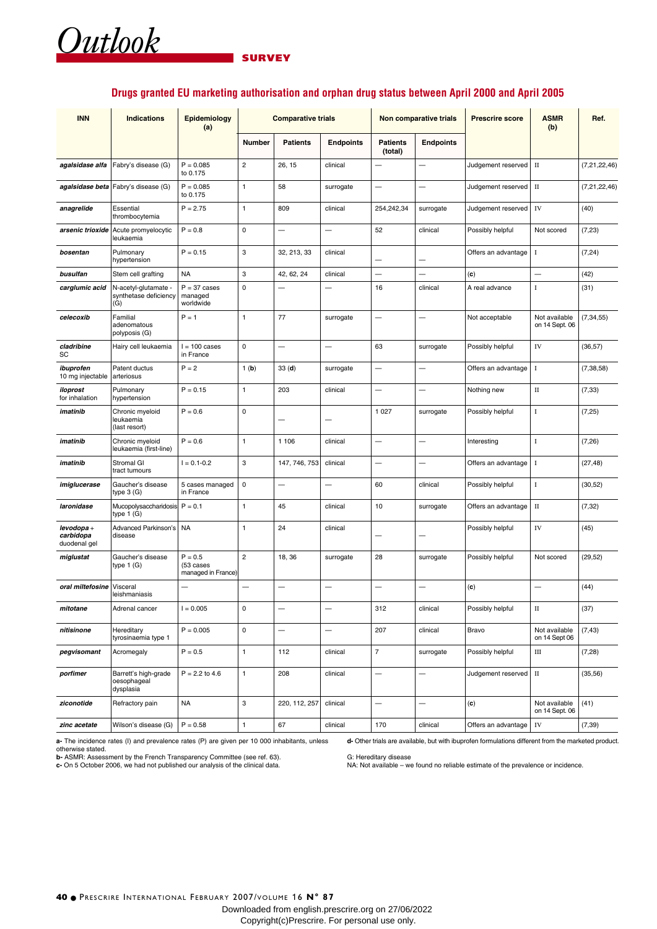### **SURVEY**

### **Drugs granted EU marketing authorisation and orphan drug status between April 2000 and April 2005**

| <b>INN</b>                             | <b>Indications</b>                                   | Epidemiology<br>(a)                            | <b>Comparative trials</b> |                          |                          | Non comparative trials     |                          | <b>Prescrire score</b> | <b>ASMR</b><br>(b)              | Ref.            |
|----------------------------------------|------------------------------------------------------|------------------------------------------------|---------------------------|--------------------------|--------------------------|----------------------------|--------------------------|------------------------|---------------------------------|-----------------|
|                                        |                                                      |                                                | <b>Number</b>             | <b>Patients</b>          | <b>Endpoints</b>         | <b>Patients</b><br>(total) | <b>Endpoints</b>         |                        |                                 |                 |
| agalsidase alfa                        | Fabry's disease (G)                                  | $P = 0.085$<br>to 0.175                        | $\overline{c}$            | 26, 15                   | clinical                 |                            | L.                       | Judgement reserved     | $\rm II$                        | (7, 21, 22, 46) |
|                                        | agalsidase beta Fabry's disease (G)                  | $P = 0.085$<br>to 0.175                        | 1                         | 58                       | surrogate                | $\overline{\phantom{0}}$   | $\overline{\phantom{0}}$ | Judgement reserved     | $\rm II$                        | (7, 21, 22, 46) |
| anagrelide                             | Essential<br>thrombocytemia                          | $P = 2.75$                                     | 1                         | 809                      | clinical                 | 254,242,34                 | surrogate                | Judgement reserved     | IV                              | (40)            |
| arsenic trioxide                       | Acute promyelocytic<br>leukaemia                     | $P = 0.8$                                      | 0                         | —                        | -                        | 52                         | clinical                 | Possibly helpful       | Not scored                      | (7, 23)         |
| bosentan                               | Pulmonary<br>hypertension                            | $P = 0.15$                                     | 3                         | 32, 213, 33              | clinical                 |                            |                          | Offers an advantage    | 1                               | (7, 24)         |
| busulfan                               | Stem cell grafting                                   | <b>NA</b>                                      | 3                         | 42, 62, 24               | clinical                 |                            | -                        | (c)                    | —                               | (42)            |
| carglumic acid                         | N-acetyl-glutamate -<br>synthetase deficiency<br>(G) | $P = 37 \text{ cases}$<br>managed<br>worldwide | 0                         | $\overline{\phantom{0}}$ |                          | 16                         | clinical                 | A real advance         | I                               | (31)            |
| celecoxib                              | Familial<br>adenomatous<br>polyposis (G)             | $P = 1$                                        | 1                         | 77                       | surrogate                |                            |                          | Not acceptable         | Not available<br>on 14 Sept. 06 | (7, 34, 55)     |
| cladribine<br>SC                       | Hairy cell leukaemia                                 | $l = 100 \text{ cases}$<br>in France           | 0                         | —                        | —                        | 63                         | surrogate                | Possibly helpful       | IV                              | (36, 57)        |
| ibuprofen<br>10 mg injectable          | Patent ductus<br>arteriosus                          | $P = 2$                                        | 1(b)                      | 33(d)                    | surrogate                | $\overline{\phantom{0}}$   |                          | Offers an advantage    | <b>I</b>                        | (7, 38, 58)     |
| iloprost<br>for inhalation             | Pulmonary<br>hypertension                            | $P = 0.15$                                     | $\mathbf{1}$              | 203                      | clinical                 |                            | $\overline{\phantom{0}}$ | Nothing new            | $\rm II$                        | (7, 33)         |
| imatinib                               | Chronic myeloid<br>leukaemia<br>(last resort)        | $P = 0.6$                                      | 0                         | -                        | ÷                        | 1 0 2 7                    | surrogate                | Possibly helpful       | I                               | (7,25)          |
| imatinib                               | Chronic myeloid<br>leukaemia (first-line)            | $P = 0.6$                                      | 1                         | 1 1 0 6                  | clinical                 | $\overline{\phantom{0}}$   | $\overline{\phantom{0}}$ | Interesting            | $\bf{I}$                        | (7,26)          |
| imatinib                               | Stromal GI<br>tract tumours                          | $I = 0.1 - 0.2$                                | 3                         | 147, 746, 753            | clinical                 |                            |                          | Offers an advantage    | -1                              | (27, 48)        |
| imiglucerase                           | Gaucher's disease<br>type $3(G)$                     | 5 cases managed<br>in France                   | $\mathsf 0$               | $\overline{\phantom{0}}$ |                          | 60                         | clinical                 | Possibly helpful       | $\bf{I}$                        | (30, 52)        |
| laronidase                             | Mucopolysaccharidosis<br>type $1(G)$                 | $P = 0.1$                                      | 1                         | 45                       | clinical                 | 10                         | surrogate                | Offers an advantage    | $\rm II$                        | (7, 32)         |
| levodopa+<br>carbidopa<br>duodenal gel | <b>Advanced Parkinson's</b><br>disease               | <b>NA</b>                                      | 1                         | 24                       | clinical                 |                            |                          | Possibly helpful       | IV                              | (45)            |
| miglustat                              | Gaucher's disease<br>type 1 (G)                      | $P = 0.5$<br>(53 cases<br>managed in France)   | $\overline{2}$            | 18, 36                   | surrogate                | 28                         | surrogate                | Possibly helpful       | Not scored                      | (29, 52)        |
| oral miltefosine                       | Visceral<br>leishmaniasis                            |                                                |                           |                          |                          |                            |                          | (c)                    |                                 | (44)            |
| mitotane                               | Adrenal cancer                                       | $I = 0.005$                                    | 0                         | —                        | -                        | 312                        | clinical                 | Possibly helpful       | $\rm II$                        | (37)            |
| nitisinone                             | Hereditary<br>tyrosinaemia type 1                    | $P = 0.005$                                    | 0                         | $\overline{\phantom{0}}$ | $\overline{\phantom{0}}$ | 207                        | clinical                 | Bravo                  | Not available<br>on 14 Sept 06  | (7, 43)         |
| pegvisomant                            | Acromegaly                                           | $P = 0.5$                                      | $\mathbf{1}$              | 112                      | clinical                 | $\overline{7}$             | surrogate                | Possibly helpful       | Ш                               | (7, 28)         |
| porfimer                               | Barrett's high-grade<br>oesophageal<br>dysplasia     | $P = 2.2$ to 4.6                               | $\mathbf{1}$              | 208                      | clinical                 | $\qquad \qquad -$          | $\overline{\phantom{0}}$ | Judgement reserved     | $\rm II$                        | (35, 56)        |
| ziconotide                             | Refractory pain                                      | <b>NA</b>                                      | 3                         | 220, 112, 257            | clinical                 | $\overline{\phantom{0}}$   | -                        | (c)                    | Not available<br>on 14 Sept. 06 | (41)            |
| zinc acetate                           | Wilson's disease (G)                                 | $P = 0.58$                                     | $\mathbf{1}$              | 67                       | clinical                 | 170                        | clinical                 | Offers an advantage    | ${\rm IV}$                      | (7, 39)         |

**a-** The incidence rates (I) and prevalence rates (P) are given per 10 000 inhabitants, unless

otherwise stated.<br>**b-** ASMR: Assessment by the French Transparency Committee (see ref. 63).<br>**c-** On 5 October 2006, we had not published our analysis of the clinical data.

**d-** Other trials are available, but with ibuprofen formulations different from the marketed product.

G: Hereditary disease

NA: Not available – we found no reliable estimate of the prevalence or incidence.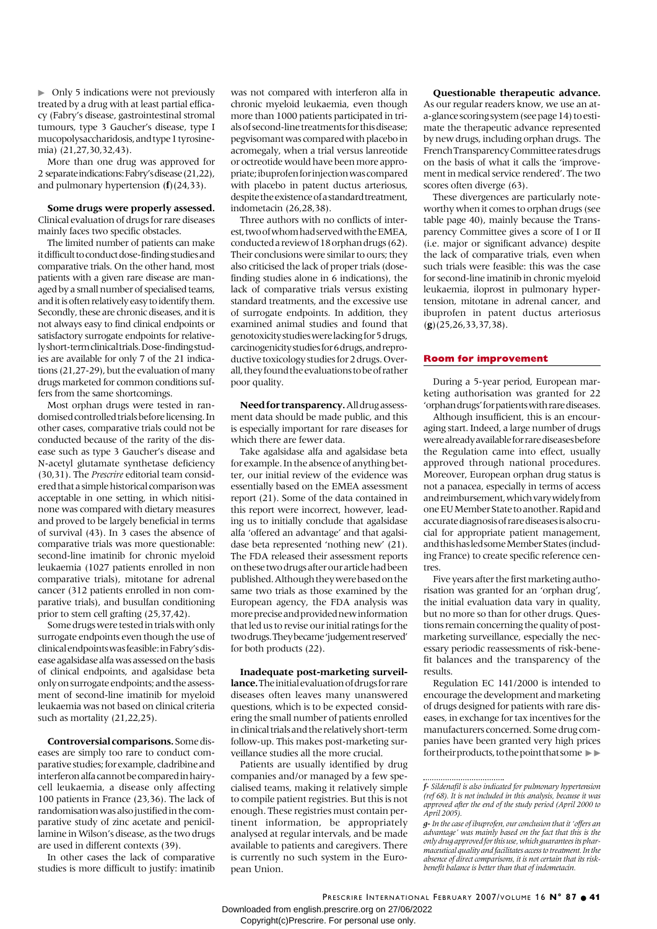• Only 5 indications were not previously treated by a drug with at least partial efficacy (Fabry's disease, gastrointestinal stromal tumours, type 3 Gaucher's disease, type I mucopolysaccharidosis, and type 1 tyrosinemia) (21,27,30,32,43).

More than one drug was approved for 2 separate indications: Fabry's disease (21,22), and pulmonary hypertension (**f**)(24,33).

### **Some drugs were properly assessed.**

Clinical evaluation of drugs for rare diseases mainly faces two specific obstacles.

The limited number of patients can make it difficult to conduct dose-finding studies and comparative trials. On the other hand, most patients with a given rare disease are managed by a small number of specialised teams, and it is often relatively easy to identify them. Secondly, these are chronic diseases, and it is not always easy to find clinical endpoints or satisfactory surrogate endpoints for relatively short-term clinical trials. Dose-finding studies are available for only 7 of the 21 indications (21,27-29), but the evaluation of many drugs marketed for common conditions suffers from the same shortcomings.

Most orphan drugs were tested in randomised controlled trials before licensing. In other cases, comparative trials could not be conducted because of the rarity of the disease such as type 3 Gaucher's disease and N-acetyl glutamate synthetase deficiency (30,31). The *Prescrire* editorial team considered that a simple historical comparison was acceptable in one setting, in which nitisinone was compared with dietary measures and proved to be largely beneficial in terms of survival (43). In 3 cases the absence of comparative trials was more questionable: second-line imatinib for chronic myeloid leukaemia (1027 patients enrolled in non comparative trials), mitotane for adrenal cancer (312 patients enrolled in non comparative trials), and busulfan conditioning prior to stem cell grafting (25,37,42).

Some drugs were tested in trials with only surrogate endpoints even though the use of clinical endpoints was feasible: in Fabry's disease agalsidase alfa was assessed on the basis of clinical endpoints, and agalsidase beta only on surrogate endpoints; and the assessment of second-line imatinib for myeloid leukaemia was not based on clinical criteria such as mortality  $(21, 22, 25)$ .

**Controversial comparisons.**Some diseases are simply too rare to conduct comparative studies; for example, cladribine and interferon alfa cannot be compared in hairycell leukaemia, a disease only affecting 100 patients in France (23,36). The lack of randomisation was also justified in the comparative study of zinc acetate and penicillamine in Wilson's disease, as the two drugs are used in different contexts (39).

In other cases the lack of comparative studies is more difficult to justify: imatinib was not compared with interferon alfa in chronic myeloid leukaemia, even though more than 1000 patients participated in trials of second-line treatments for this disease; pegvisomant was compared with placebo in acromegaly, when a trial versus lanreotide or octreotide would have been more appropriate; ibuprofen for injection was compared with placebo in patent ductus arteriosus, despite the existence of a standard treatment, indometacin (26,28,38).

Three authors with no conflicts of interest, two of whom had served with the EMEA, conducted a review of 18 orphan drugs (62). Their conclusions were similar to ours; they also criticised the lack of proper trials (dosefinding studies alone in 6 indications), the lack of comparative trials versus existing standard treatments, and the excessive use of surrogate endpoints. In addition, they examined animal studies and found that genotoxicity studies were lacking for 5 drugs, carcinogenicity studies for 6 drugs, and reproductive toxicology studies for 2 drugs. Overall, they found the evaluations to be of rather poor quality.

**Need for transparency.**All drug assessment data should be made public, and this is especially important for rare diseases for which there are fewer data.

Take agalsidase alfa and agalsidase beta for example. In the absence of anything better, our initial review of the evidence was essentially based on the EMEA assessment report (21). Some of the data contained in this report were incorrect, however, leading us to initially conclude that agalsidase alfa 'offered an advantage' and that agalsidase beta represented 'nothing new' (21). The FDA released their assessment reports on these two drugs after our article had been published. Although they were based on the same two trials as those examined by the European agency, the FDA analysis was more precise and provided new information that led us to revise our initial ratings for the two drugs. They became 'judgement reserved' for both products (22).

**Inadequate post-marketing surveillance.**The initial evaluation of drugs for rare diseases often leaves many unanswered questions, which is to be expected considering the small number of patients enrolled in clinical trials and the relatively short-term follow-up. This makes post-marketing surveillance studies all the more crucial.

Patients are usually identified by drug companies and/or managed by a few specialised teams, making it relatively simple to compile patient registries. But this is not enough. These registries must contain pertinent information, be appropriately analysed at regular intervals, and be made available to patients and caregivers. There is currently no such system in the European Union.

### **Questionable therapeutic advance.**

As our regular readers know, we use an ata-glance scoring system (see page 14) to estimate the therapeutic advance represented by new drugs, including orphan drugs. The French Transparency Committee rates drugs on the basis of what it calls the 'improvement in medical service rendered'. The two scores often diverge (63).

These divergences are particularly noteworthy when it comes to orphan drugs (see table page 40), mainly because the Transparency Committee gives a score of I or II (i.e. major or significant advance) despite the lack of comparative trials, even when such trials were feasible: this was the case for second-line imatinib in chronic myeloid leukaemia, iloprost in pulmonary hypertension, mitotane in adrenal cancer, and ibuprofen in patent ductus arteriosus (**g**)(25,26,33,37,38).

#### **Room for improvement**

During a 5-year period, European marketing authorisation was granted for 22 'orphan drugs' for patients with rare diseases.

Although insufficient, this is an encouraging start. Indeed, a large number of drugs were already available for rare diseases before the Regulation came into effect, usually approved through national procedures. Moreover, European orphan drug status is not a panacea, especially in terms of access and reimbursement, which vary widely from one EU Member State to another. Rapid and accurate diagnosis of rare diseases is also crucial for appropriate patient management, and this has led some Member States (including France) to create specific reference centres.

Five years after the first marketing authorisation was granted for an 'orphan drug', the initial evaluation data vary in quality, but no more so than for other drugs. Questions remain concerning the quality of postmarketing surveillance, especially the necessary periodic reassessments of risk-benefit balances and the transparency of the results.

Regulation EC 141/2000 is intended to encourage the development and marketing of drugs designed for patients with rare diseases, in exchange for tax incentives for the manufacturers concerned. Some drug companies have been granted very high prices for their products, to the point that some  $\blacktriangleright$ 

PRESCRIRE INTERNATIONAL FEBRUARY 2007/VOLUME 16 N° 87 · 41 Downloaded from english.prescrire.org on 27/06/2022

*f- Sildenafil is also indicated for pulmonary hypertension (ref 68). It is not included in this analysis, because it was approved after the end of the study period (April 2000 to April 2005).*

*g-In the case of ibuprofen, our conclusion that it 'offers an advantage' was mainly based on the fact that this is the only drug approved for this use, which guarantees its pharmaceutical quality and facilitates access to treatment. In the absence of direct comparisons, it is not certain that its riskbenefit balance is better than that of indometacin.*